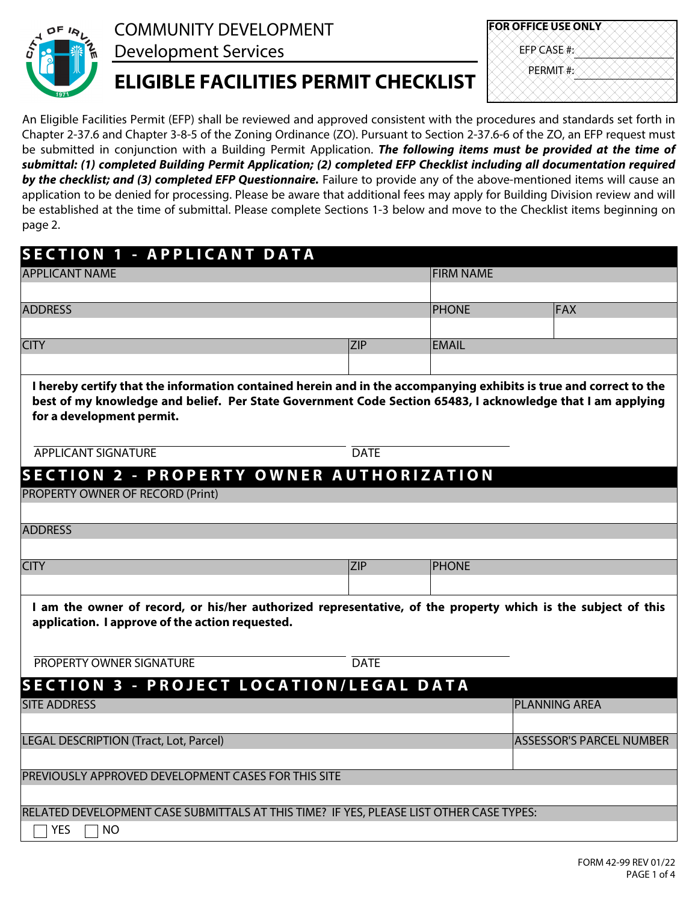

 $|$  YES  $|$   $|$  NO

COMMUNITY DEVELOPMENT

Development Services

# **FOR OFFICE USE ONLY** EFP CASE #: PERMIT #:

**ELIGIBLE FACILITIES PERMIT CHECKLIST**

An Eligible Facilities Permit (EFP) shall be reviewed and approved consistent with the procedures and standards set forth in Chapter 2-37.6 and Chapter 3-8-5 of the Zoning Ordinance (ZO). Pursuant to Section 2-37.6-6 of the ZO, an EFP request must be submitted in conjunction with a Building Permit Application. *The following items must be provided at the time of submittal: (1) completed Building Permit Application; (2) completed EFP Checklist including all documentation required by the checklist; and (3) completed EFP Questionnaire.* Failure to provide any of the above-mentioned items will cause an application to be denied for processing. Please be aware that additional fees may apply for Building Division review and will be established at the time of submittal. Please complete Sections 1-3 below and move to the Checklist items beginning on page 2.

| <b>SECTION 1 - APPLICANT DATA</b>                                                                                                                                                                                                                             |             |                  |                                 |  |
|---------------------------------------------------------------------------------------------------------------------------------------------------------------------------------------------------------------------------------------------------------------|-------------|------------------|---------------------------------|--|
| <b>APPLICANT NAME</b>                                                                                                                                                                                                                                         |             | <b>FIRM NAME</b> |                                 |  |
|                                                                                                                                                                                                                                                               |             |                  |                                 |  |
| <b>ADDRESS</b>                                                                                                                                                                                                                                                |             | <b>PHONE</b>     | <b>FAX</b>                      |  |
|                                                                                                                                                                                                                                                               |             |                  |                                 |  |
| <b>CITY</b>                                                                                                                                                                                                                                                   | <b>ZIP</b>  | <b>EMAIL</b>     |                                 |  |
|                                                                                                                                                                                                                                                               |             |                  |                                 |  |
| I hereby certify that the information contained herein and in the accompanying exhibits is true and correct to the<br>best of my knowledge and belief. Per State Government Code Section 65483, I acknowledge that I am applying<br>for a development permit. |             |                  |                                 |  |
| <b>APPLICANT SIGNATURE</b>                                                                                                                                                                                                                                    | <b>DATE</b> |                  |                                 |  |
| SECTION 2 - PROPERTY OWNER AUTHORIZATION                                                                                                                                                                                                                      |             |                  |                                 |  |
| <b>PROPERTY OWNER OF RECORD (Print)</b>                                                                                                                                                                                                                       |             |                  |                                 |  |
|                                                                                                                                                                                                                                                               |             |                  |                                 |  |
| <b>ADDRESS</b>                                                                                                                                                                                                                                                |             |                  |                                 |  |
|                                                                                                                                                                                                                                                               |             |                  |                                 |  |
| <b>CITY</b>                                                                                                                                                                                                                                                   | <b>ZIP</b>  | <b>PHONE</b>     |                                 |  |
|                                                                                                                                                                                                                                                               |             |                  |                                 |  |
| I am the owner of record, or his/her authorized representative, of the property which is the subject of this<br>application. I approve of the action requested.                                                                                               |             |                  |                                 |  |
| PROPERTY OWNER SIGNATURE                                                                                                                                                                                                                                      | <b>DATE</b> |                  |                                 |  |
| <b>SECTION 3 - PROJECT LOCATION/LEGAL DATA</b>                                                                                                                                                                                                                |             |                  |                                 |  |
| <b>SITE ADDRESS</b>                                                                                                                                                                                                                                           |             |                  | PLANNING AREA                   |  |
|                                                                                                                                                                                                                                                               |             |                  |                                 |  |
| LEGAL DESCRIPTION (Tract, Lot, Parcel)                                                                                                                                                                                                                        |             |                  | <b>ASSESSOR'S PARCEL NUMBER</b> |  |
| PREVIOUSLY APPROVED DEVELOPMENT CASES FOR THIS SITE                                                                                                                                                                                                           |             |                  |                                 |  |
| RELATED DEVELOPMENT CASE SUBMITTALS AT THIS TIME? IF YES, PLEASE LIST OTHER CASE TYPES:                                                                                                                                                                       |             |                  |                                 |  |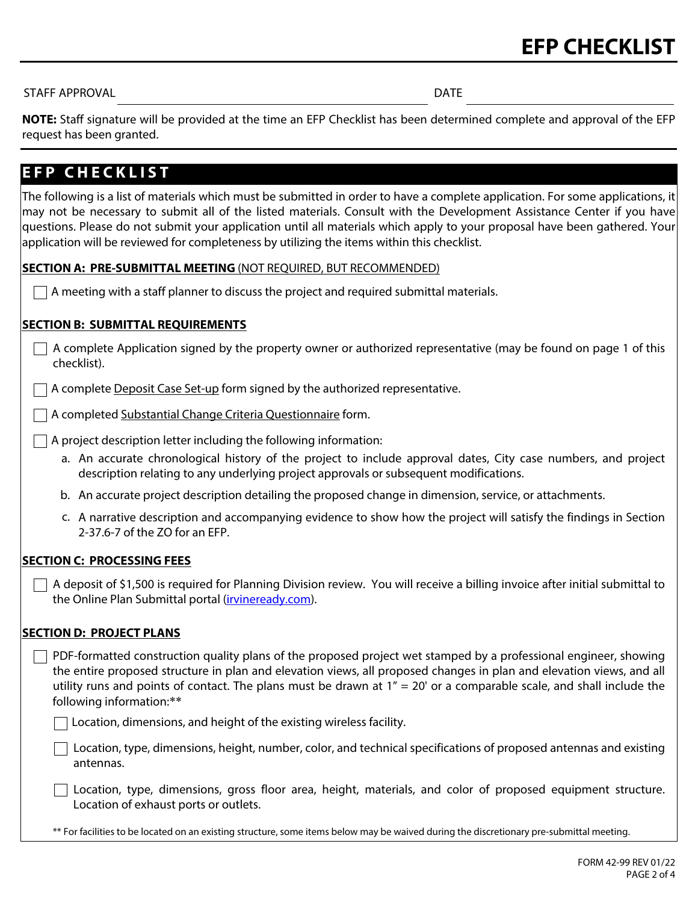#### STAFF APPROVAL **DATE**

**NOTE:** Staff signature will be provided at the time an EFP Checklist has been determined complete and approval of the EFP request has been granted.

# **EFP CHECKLIST**

The following is a list of materials which must be submitted in order to have a complete application. For some applications, it may not be necessary to submit all of the listed materials. Consult with the Development Assistance Center if you have questions. Please do not submit your application until all materials which apply to your proposal have been gathered. Your application will be reviewed for completeness by utilizing the items within this checklist.

### **SECTION A: PRE-SUBMITTAL MEETING** (NOT REQUIRED, BUT RECOMMENDED)

## **SECTION B: SUBMITTAL REQUIREMENTS**

- $\Box$  A complete Application signed by the property owner or authorized representative (may be found on page 1 of this checklist).
- $\Box$  A complete Deposit Case Set-up form signed by the authorized representative.
- $\Box$  A completed Substantial Change Criteria Questionnaire form.
- $\Box$  A project description letter including the following information:
	- a. An accurate chronological history of the project to include approval dates, City case numbers, and project description relating to any underlying project approvals or subsequent modifications.
	- b. An accurate project description detailing the proposed change in dimension, service, or attachments.
	- c. A narrative description and accompanying evidence to show how the project will satisfy the findings in Section 2-37.6-7 of the ZO for an EFP.

# **SECTION C: PROCESSING FEES**

A deposit of \$1,500 is required for Planning Division review. You will receive a billing invoice after initial submittal to the Online Plan Submittal portal ([irvineready.com\)](www.irvineready.com).

### **SECTION D: PROJECT PLANS**

PDF-formatted construction quality plans of the proposed project wet stamped by a professional engineer, showing the entire proposed structure in plan and elevation views, all proposed changes in plan and elevation views, and all utility runs and points of contact. The plans must be drawn at  $1'' = 20'$  or a comparable scale, and shall include the following information:\*\*

 $\Box$  Location, dimensions, and height of the existing wireless facility.

 $\Box$  Location, type, dimensions, height, number, color, and technical specifications of proposed antennas and existing antennas.

Location, type, dimensions, gross floor area, height, materials, and color of proposed equipment structure. Location of exhaust ports or outlets.

\*\* For facilities to be located on an existing structure, some items below may be waived during the discretionary pre-submittal meeting.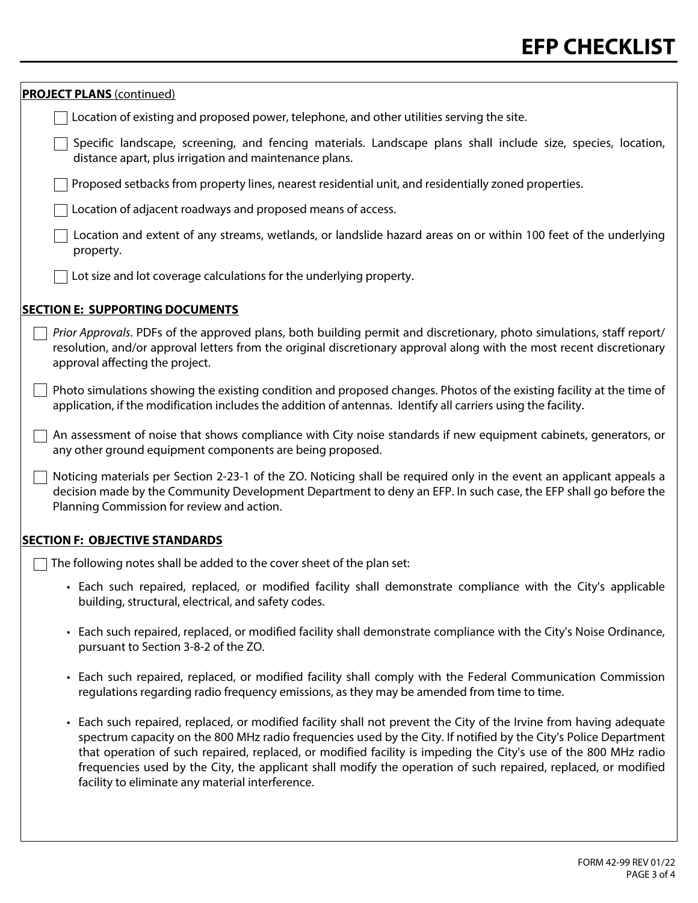| <b>PROJECT PLANS (continued)</b>                                                                                                                                                                                                                                                                                                                                                                                                                                                                                                |
|---------------------------------------------------------------------------------------------------------------------------------------------------------------------------------------------------------------------------------------------------------------------------------------------------------------------------------------------------------------------------------------------------------------------------------------------------------------------------------------------------------------------------------|
| Location of existing and proposed power, telephone, and other utilities serving the site.                                                                                                                                                                                                                                                                                                                                                                                                                                       |
| Specific landscape, screening, and fencing materials. Landscape plans shall include size, species, location,<br>distance apart, plus irrigation and maintenance plans.                                                                                                                                                                                                                                                                                                                                                          |
| Proposed setbacks from property lines, nearest residential unit, and residentially zoned properties.                                                                                                                                                                                                                                                                                                                                                                                                                            |
| Location of adjacent roadways and proposed means of access.                                                                                                                                                                                                                                                                                                                                                                                                                                                                     |
| Location and extent of any streams, wetlands, or landslide hazard areas on or within 100 feet of the underlying<br>property.                                                                                                                                                                                                                                                                                                                                                                                                    |
| Lot size and lot coverage calculations for the underlying property.                                                                                                                                                                                                                                                                                                                                                                                                                                                             |
| <b>SECTION E: SUPPORTING DOCUMENTS</b>                                                                                                                                                                                                                                                                                                                                                                                                                                                                                          |
| Prior Approvals. PDFs of the approved plans, both building permit and discretionary, photo simulations, staff report/<br>resolution, and/or approval letters from the original discretionary approval along with the most recent discretionary<br>approval affecting the project.                                                                                                                                                                                                                                               |
| Photo simulations showing the existing condition and proposed changes. Photos of the existing facility at the time of<br>application, if the modification includes the addition of antennas. Identify all carriers using the facility.                                                                                                                                                                                                                                                                                          |
| An assessment of noise that shows compliance with City noise standards if new equipment cabinets, generators, or<br>any other ground equipment components are being proposed.                                                                                                                                                                                                                                                                                                                                                   |
| Noticing materials per Section 2-23-1 of the ZO. Noticing shall be required only in the event an applicant appeals a<br>decision made by the Community Development Department to deny an EFP. In such case, the EFP shall go before the<br>Planning Commission for review and action.                                                                                                                                                                                                                                           |
| <b>SECTION F: OBJECTIVE STANDARDS</b>                                                                                                                                                                                                                                                                                                                                                                                                                                                                                           |
| The following notes shall be added to the cover sheet of the plan set:                                                                                                                                                                                                                                                                                                                                                                                                                                                          |
| • Each such repaired, replaced, or modified facility shall demonstrate compliance with the City's applicable<br>building, structural, electrical, and safety codes.                                                                                                                                                                                                                                                                                                                                                             |
| • Each such repaired, replaced, or modified facility shall demonstrate compliance with the City's Noise Ordinance,<br>pursuant to Section 3-8-2 of the ZO.                                                                                                                                                                                                                                                                                                                                                                      |
| • Each such repaired, replaced, or modified facility shall comply with the Federal Communication Commission<br>regulations regarding radio frequency emissions, as they may be amended from time to time.                                                                                                                                                                                                                                                                                                                       |
| • Each such repaired, replaced, or modified facility shall not prevent the City of the Irvine from having adequate<br>spectrum capacity on the 800 MHz radio frequencies used by the City. If notified by the City's Police Department<br>that operation of such repaired, replaced, or modified facility is impeding the City's use of the 800 MHz radio<br>frequencies used by the City, the applicant shall modify the operation of such repaired, replaced, or modified<br>facility to eliminate any material interference. |
|                                                                                                                                                                                                                                                                                                                                                                                                                                                                                                                                 |